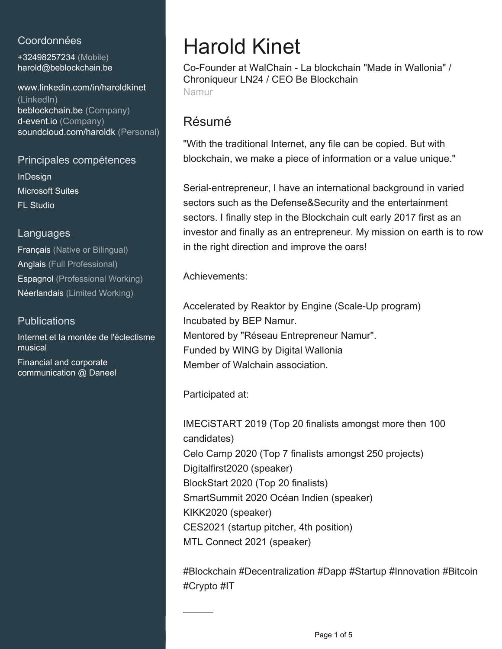## Coordonnées

+32498257234 (Mobile) [harold@beblockchain.be](mailto:harold@beblockchain.be)

[www.linkedin.com/in/haroldkinet](https://www.linkedin.com/in/haroldkinet?jobid=1234&lipi=urn%3Ali%3Apage%3Ad_jobs_easyapply_pdfgenresume%3BiZbYV3pqQAGrVLjCge2isw%3D%3D&licu=urn%3Ali%3Acontrol%3Ad_jobs_easyapply_pdfgenresume-v02_profile) [\(LinkedIn\)](https://www.linkedin.com/in/haroldkinet?jobid=1234&lipi=urn%3Ali%3Apage%3Ad_jobs_easyapply_pdfgenresume%3BiZbYV3pqQAGrVLjCge2isw%3D%3D&licu=urn%3Ali%3Acontrol%3Ad_jobs_easyapply_pdfgenresume-v02_profile) [beblockchain.be \(Company\)](https://beblockchain.be) [d-event.io \(Company\)](https://d-event.io) [soundcloud.com/haroldk \(Personal\)](https://soundcloud.com/haroldk)

#### Principales compétences

InDesign Microsoft Suites FL Studio

### Languages

Français (Native or Bilingual) Anglais (Full Professional) Espagnol (Professional Working) Néerlandais (Limited Working)

## **Publications**

Internet et la montée de l'éclectisme musical Financial and corporate communication @ Daneel

# Harold Kinet

Co-Founder at WalChain - La blockchain "Made in Wallonia" / Chroniqueur LN24 / CEO Be Blockchain Namur

# Résumé

"With the traditional Internet, any file can be copied. But with blockchain, we make a piece of information or a value unique."

Serial-entrepreneur, I have an international background in varied sectors such as the Defense&Security and the entertainment sectors. I finally step in the Blockchain cult early 2017 first as an investor and finally as an entrepreneur. My mission on earth is to row in the right direction and improve the oars!

Achievements:

Accelerated by Reaktor by Engine (Scale-Up program) Incubated by BEP Namur. Mentored by "Réseau Entrepreneur Namur". Funded by WING by Digital Wallonia Member of Walchain association.

Participated at:

IMECiSTART 2019 (Top 20 finalists amongst more then 100 candidates) Celo Camp 2020 (Top 7 finalists amongst 250 projects) Digitalfirst2020 (speaker) BlockStart 2020 (Top 20 finalists) SmartSummit 2020 Océan Indien (speaker) KIKK2020 (speaker) CES2021 (startup pitcher, 4th position) MTL Connect 2021 (speaker)

#Blockchain #Decentralization #Dapp #Startup #Innovation #Bitcoin #Crypto #IT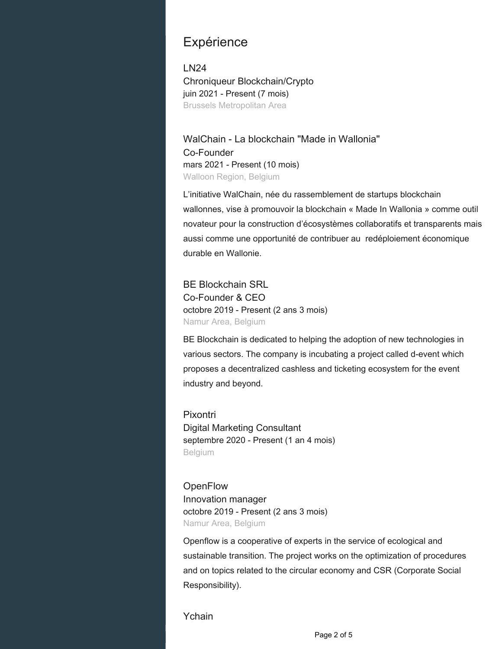# **Expérience**

LN24 Chroniqueur Blockchain/Crypto juin 2021 - Present (7 mois) Brussels Metropolitan Area

WalChain - La blockchain "Made in Wallonia" Co-Founder mars 2021 - Present (10 mois) Walloon Region, Belgium

L'initiative WalChain, née du rassemblement de startups blockchain wallonnes, vise à promouvoir la blockchain « Made In Wallonia » comme outil novateur pour la construction d'écosystèmes collaboratifs et transparents mais aussi comme une opportunité de contribuer au redéploiement économique durable en Wallonie.

BE Blockchain SRL Co-Founder & CEO octobre 2019 - Present (2 ans 3 mois) Namur Area, Belgium

BE Blockchain is dedicated to helping the adoption of new technologies in various sectors. The company is incubating a project called d-event which proposes a decentralized cashless and ticketing ecosystem for the event industry and beyond.

Pixontri Digital Marketing Consultant septembre 2020 - Present (1 an 4 mois) Belgium

**OpenFlow** Innovation manager octobre 2019 - Present (2 ans 3 mois) Namur Area, Belgium

Openflow is a cooperative of experts in the service of ecological and sustainable transition. The project works on the optimization of procedures and on topics related to the circular economy and CSR (Corporate Social Responsibility).

Ychain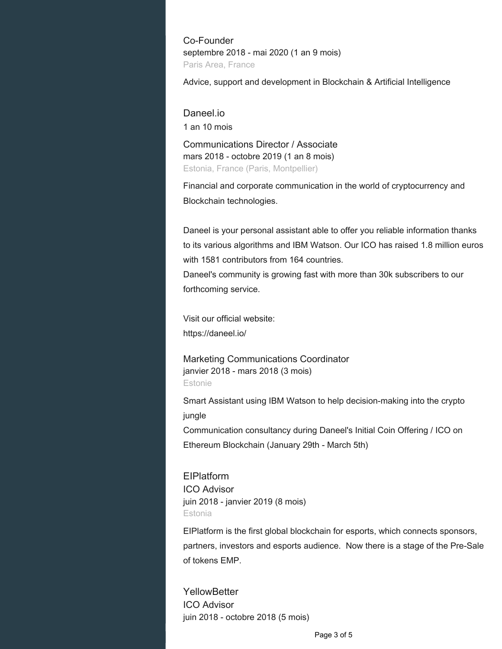Co-Founder septembre 2018 - mai 2020 (1 an 9 mois) Paris Area, France

Advice, support and development in Blockchain & Artificial Intelligence

#### Daneel.io

1 an 10 mois

Communications Director / Associate mars 2018 - octobre 2019 (1 an 8 mois) Estonia, France (Paris, Montpellier)

Financial and corporate communication in the world of cryptocurrency and Blockchain technologies.

Daneel is your personal assistant able to offer you reliable information thanks to its various algorithms and IBM Watson. Our ICO has raised 1.8 million euros with 1581 contributors from 164 countries.

Daneel's community is growing fast with more than 30k subscribers to our forthcoming service.

Visit our official website: https://daneel.io/

Marketing Communications Coordinator janvier 2018 - mars 2018 (3 mois) Estonie

Smart Assistant using IBM Watson to help decision-making into the crypto jungle

Communication consultancy during Daneel's Initial Coin Offering / ICO on Ethereum Blockchain (January 29th - March 5th)

EIPlatform ICO Advisor juin 2018 - janvier 2019 (8 mois) Estonia

EIPlatform is the first global blockchain for esports, which connects sponsors, partners, investors and esports audience. Now there is a stage of the Pre-Sale of tokens EMP.

**YellowBetter** ICO Advisor juin 2018 - octobre 2018 (5 mois)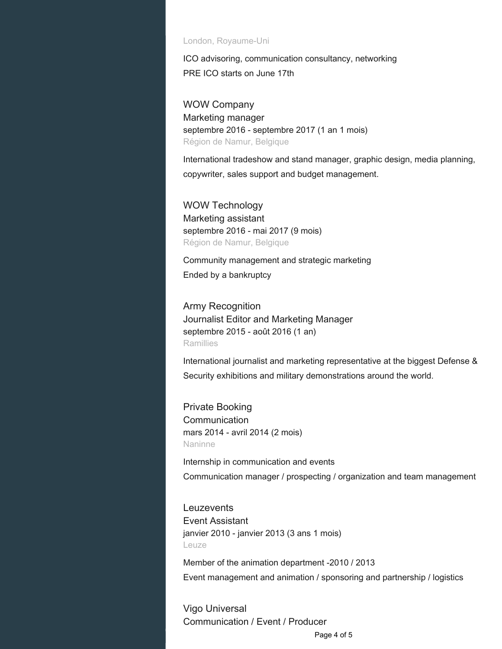#### London, Royaume-Uni

ICO advisoring, communication consultancy, networking PRE ICO starts on June 17th

WOW Company Marketing manager septembre 2016 - septembre 2017 (1 an 1 mois) Région de Namur, Belgique

International tradeshow and stand manager, graphic design, media planning, copywriter, sales support and budget management.

WOW Technology Marketing assistant septembre 2016 - mai 2017 (9 mois) Région de Namur, Belgique

Community management and strategic marketing Ended by a bankruptcy

Army Recognition Journalist Editor and Marketing Manager septembre 2015 - août 2016 (1 an) **Ramillies** 

International journalist and marketing representative at the biggest Defense & Security exhibitions and military demonstrations around the world.

Private Booking **Communication** mars 2014 - avril 2014 (2 mois) Naninne

Internship in communication and events

Communication manager / prospecting / organization and team management

**Leuzevents** Event Assistant janvier 2010 - janvier 2013 (3 ans 1 mois) Leuze

Member of the animation department -2010 / 2013 Event management and animation / sponsoring and partnership / logistics

Vigo Universal Communication / Event / Producer